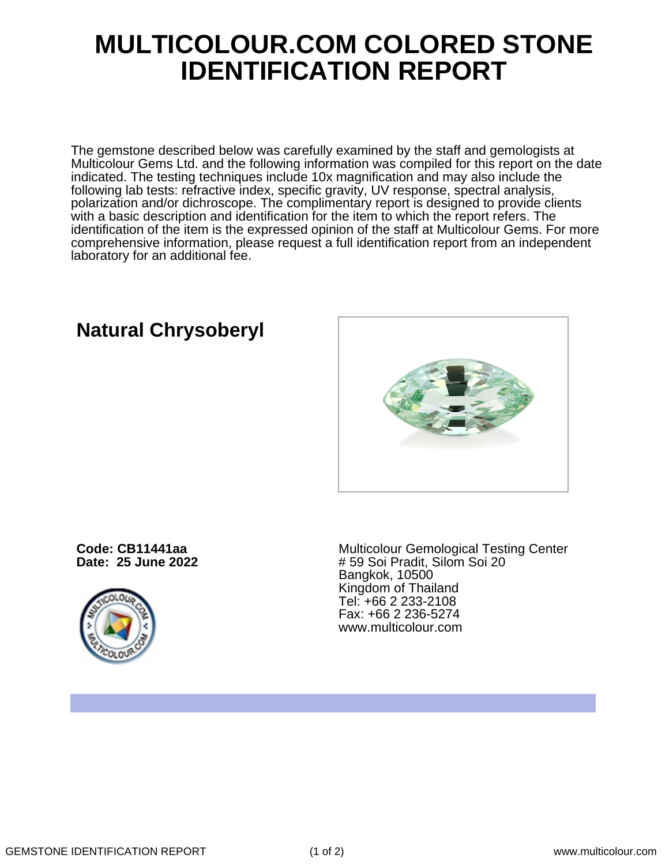## **MULTICOLOUR.COM COLORED STONE IDENTIFICATION REPORT**

The gemstone described below was carefully examined by the staff and gemologists at Multicolour Gems Ltd. and the following information was compiled for this report on the date indicated. The testing techniques include 10x magnification and may also include the following lab tests: refractive index, specific gravity, UV response, spectral analysis, polarization and/or dichroscope. The complimentary report is designed to provide clients with a basic description and identification for the item to which the report refers. The identification of the item is the expressed opinion of the staff at Multicolour Gems. For more comprehensive information, please request a full identification report from an independent laboratory for an additional fee.

**Code: CB11441aa Date: 25 June 2022**

**Natural Chrysoberyl**



Multicolour Gemological Testing Center # 59 Soi Pradit, Silom Soi 20 Bangkok, 10500 Kingdom of Thailand Tel: +66 2 233-2108 Fax: +66 2 236-5274 www.multicolour.com